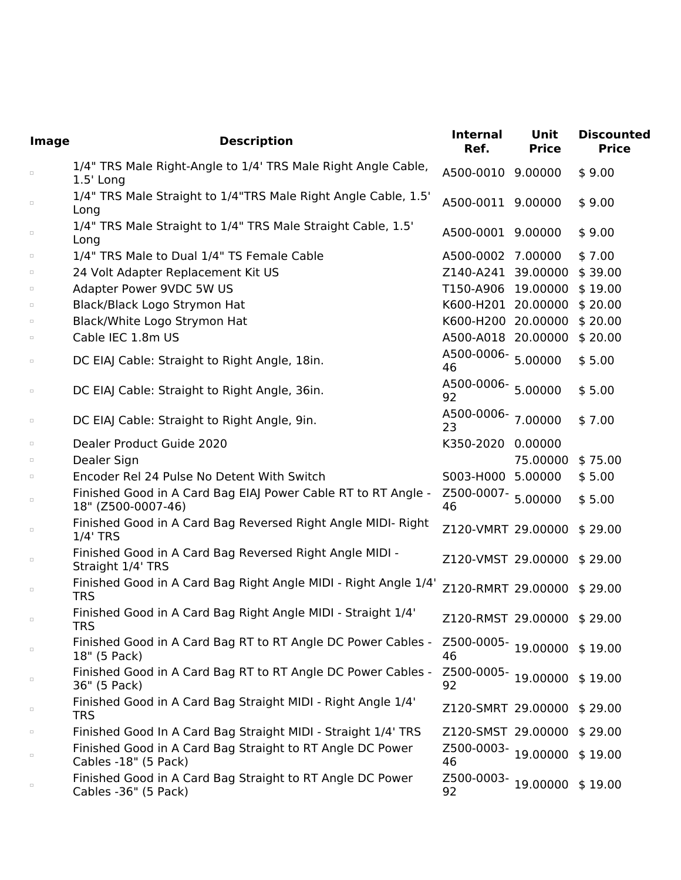| Image  | <b>Description</b>                                                                  | <b>Internal</b><br>Ref.          | Unit<br><b>Price</b> | <b>Discounted</b><br><b>Price</b> |
|--------|-------------------------------------------------------------------------------------|----------------------------------|----------------------|-----------------------------------|
| $\Box$ | 1/4" TRS Male Right-Angle to 1/4' TRS Male Right Angle Cable,<br>$1.5'$ Long        | A500-0010 9.00000                |                      | \$9.00                            |
| $\Box$ | 1/4" TRS Male Straight to 1/4"TRS Male Right Angle Cable, 1.5'<br>Long              | A500-0011 9.00000                |                      | \$9.00                            |
| $\Box$ | 1/4" TRS Male Straight to 1/4" TRS Male Straight Cable, 1.5'<br>Long                | A500-0001 9.00000                |                      | \$9.00                            |
| $\Box$ | 1/4" TRS Male to Dual 1/4" TS Female Cable                                          | A500-0002 7.00000                |                      | \$7.00                            |
| $\Box$ | 24 Volt Adapter Replacement Kit US                                                  | Z140-A241 39.00000               |                      | \$39.00                           |
| $\Box$ | Adapter Power 9VDC 5W US                                                            | T150-A906 19.00000               |                      | \$19.00                           |
| $\Box$ | Black/Black Logo Strymon Hat                                                        | K600-H201 20.00000               |                      | \$20.00                           |
| $\Box$ | Black/White Logo Strymon Hat                                                        | K600-H200 20.00000               |                      | \$20.00                           |
| $\Box$ | Cable IEC 1.8m US                                                                   | A500-A018 20.00000               |                      | \$20.00                           |
| $\Box$ | DC EIAJ Cable: Straight to Right Angle, 18in.                                       | A500-0006- 5.00000<br>46         |                      | \$5.00                            |
| $\Box$ | DC EIAJ Cable: Straight to Right Angle, 36in.                                       | A500-0006- 5.00000<br>92         |                      | \$5.00                            |
| $\Box$ | DC EIAJ Cable: Straight to Right Angle, 9in.                                        | A500-0006-<br>23                 | 7.00000              | \$7.00                            |
| $\Box$ | Dealer Product Guide 2020                                                           | K350-2020 0.00000                |                      |                                   |
| $\Box$ | Dealer Sign                                                                         |                                  | 75.00000             | \$75.00                           |
| $\Box$ | Encoder Rel 24 Pulse No Detent With Switch                                          | S003-H000 5.00000                |                      | \$5.00                            |
| $\Box$ | Finished Good in A Card Bag EIAJ Power Cable RT to RT Angle -<br>18" (Z500-0007-46) | Z500-0007- 5.00000<br>46         |                      | \$5.00                            |
| $\Box$ | Finished Good in A Card Bag Reversed Right Angle MIDI- Right<br>$1/4$ ' TRS         | Z120-VMRT 29.00000               |                      | \$29.00                           |
| $\Box$ | Finished Good in A Card Bag Reversed Right Angle MIDI -<br>Straight 1/4' TRS        | Z120-VMST 29.00000               |                      | \$29.00                           |
| $\Box$ | Finished Good in A Card Bag Right Angle MIDI - Right Angle 1/4'<br><b>TRS</b>       | Z120-RMRT 29.00000               |                      | \$29.00                           |
| $\Box$ | Finished Good in A Card Bag Right Angle MIDI - Straight 1/4'<br><b>TRS</b>          | Z120-RMST 29.00000 \$29.00       |                      |                                   |
| $\Box$ | Finished Good in A Card Bag RT to RT Angle DC Power Cables -<br>18" (5 Pack)        | Z500-0005-19.00000 \$19.00<br>46 |                      |                                   |
| $\Box$ | Finished Good in A Card Bag RT to RT Angle DC Power Cables -<br>36" (5 Pack)        | Z500-0005-19.00000 \$19.00<br>92 |                      |                                   |
| $\Box$ | Finished Good in A Card Bag Straight MIDI - Right Angle 1/4'<br><b>TRS</b>          | Z120-SMRT 29.00000               |                      | \$29.00                           |
| $\Box$ | Finished Good In A Card Bag Straight MIDI - Straight 1/4' TRS                       | Z120-SMST 29.00000 \$29.00       |                      |                                   |
| $\Box$ | Finished Good in A Card Bag Straight to RT Angle DC Power<br>Cables -18" (5 Pack)   | Z500-0003-19.00000<br>46         |                      | \$19.00                           |
| $\Box$ | Finished Good in A Card Bag Straight to RT Angle DC Power<br>Cables -36" (5 Pack)   | Z500-0003-19.00000 \$19.00<br>92 |                      |                                   |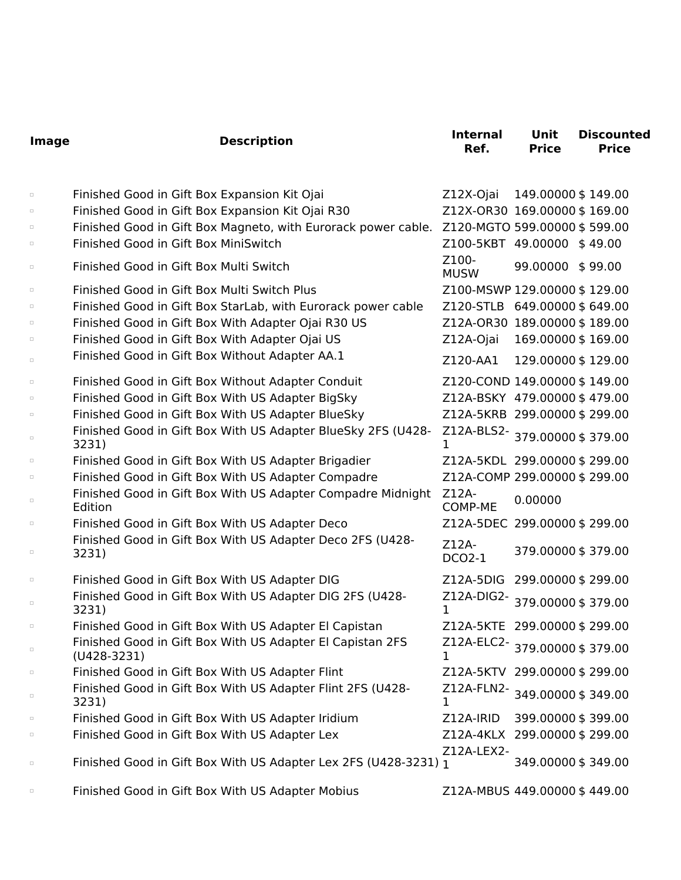| Image  | <b>Description</b>                                                         | <b>Internal</b><br>Ref.           | Unit<br><b>Price</b> | <b>Discounted</b><br><b>Price</b> |
|--------|----------------------------------------------------------------------------|-----------------------------------|----------------------|-----------------------------------|
| $\Box$ | Finished Good in Gift Box Expansion Kit Ojai                               | Z12X-Ojai                         | 149.00000 \$149.00   |                                   |
| $\Box$ | Finished Good in Gift Box Expansion Kit Ojai R30                           | Z12X-OR30 169.00000 \$169.00      |                      |                                   |
| $\Box$ | Finished Good in Gift Box Magneto, with Eurorack power cable.              | Z120-MGTO 599.00000 \$599.00      |                      |                                   |
| $\Box$ | Finished Good in Gift Box MiniSwitch                                       | Z100-5KBT 49.00000 \$49.00        |                      |                                   |
| $\Box$ | Finished Good in Gift Box Multi Switch                                     | Z100-<br><b>MUSW</b>              | 99.00000 \$99.00     |                                   |
| $\Box$ | Finished Good in Gift Box Multi Switch Plus                                | Z100-MSWP 129.00000 \$129.00      |                      |                                   |
| $\Box$ | Finished Good in Gift Box StarLab, with Eurorack power cable               | Z120-STLB 649.00000 \$649.00      |                      |                                   |
| $\Box$ | Finished Good in Gift Box With Adapter Ojai R30 US                         | Z12A-OR30 189.00000 \$189.00      |                      |                                   |
| $\Box$ | Finished Good in Gift Box With Adapter Ojai US                             | Z12A-Ojai                         | 169.00000 \$169.00   |                                   |
| $\Box$ | Finished Good in Gift Box Without Adapter AA.1                             | Z120-AA1                          | 129.00000 \$129.00   |                                   |
| $\Box$ | Finished Good in Gift Box Without Adapter Conduit                          | Z120-COND 149.00000 \$149.00      |                      |                                   |
| $\Box$ | Finished Good in Gift Box With US Adapter BigSky                           | Z12A-BSKY 479.00000 \$479.00      |                      |                                   |
| $\Box$ | Finished Good in Gift Box With US Adapter BlueSky                          | Z12A-5KRB 299.00000 \$299.00      |                      |                                   |
| $\Box$ | Finished Good in Gift Box With US Adapter BlueSky 2FS (U428-<br>3231)      | Z12A-BLS2-379.00000\$379.00<br>1. |                      |                                   |
| $\Box$ | Finished Good in Gift Box With US Adapter Brigadier                        | Z12A-5KDL 299.00000 \$299.00      |                      |                                   |
| $\Box$ | Finished Good in Gift Box With US Adapter Compadre                         | Z12A-COMP 299.00000 \$299.00      |                      |                                   |
| $\Box$ | Finished Good in Gift Box With US Adapter Compadre Midnight<br>Edition     | Z12A-<br>COMP-ME                  | 0.00000              |                                   |
| $\Box$ | Finished Good in Gift Box With US Adapter Deco                             | Z12A-5DEC 299.00000 \$299.00      |                      |                                   |
| $\Box$ | Finished Good in Gift Box With US Adapter Deco 2FS (U428-<br>3231)         | Z12A-<br><b>DCO2-1</b>            | 379.00000 \$379.00   |                                   |
| $\Box$ | Finished Good in Gift Box With US Adapter DIG                              | Z12A-5DIG 299.00000 \$299.00      |                      |                                   |
| $\Box$ | Finished Good in Gift Box With US Adapter DIG 2FS (U428-<br>3231)          | Z12A-DIG2-379.00000\$379.00<br>1  |                      |                                   |
|        | Finished Good in Gift Box With US Adapter El Capistan                      | Z12A-5KTE 299.00000 \$299.00      |                      |                                   |
| $\Box$ | Finished Good in Gift Box With US Adapter El Capistan 2FS<br>$(U428-3231)$ | Z12A-ELC2-379.00000 \$379.00<br>1 |                      |                                   |
| $\Box$ | Finished Good in Gift Box With US Adapter Flint                            | Z12A-5KTV 299.00000 \$299.00      |                      |                                   |
| $\Box$ | Finished Good in Gift Box With US Adapter Flint 2FS (U428-<br>3231)        | Z12A-FLN2-349.00000\$349.00<br>1  |                      |                                   |
| $\Box$ | Finished Good in Gift Box With US Adapter Iridium                          | Z12A-IRID                         | 399.00000 \$399.00   |                                   |
| $\Box$ | Finished Good in Gift Box With US Adapter Lex                              | Z12A-4KLX 299.00000 \$299.00      |                      |                                   |
| $\Box$ | Finished Good in Gift Box With US Adapter Lex 2FS (U428-3231) 1            | Z12A-LEX2-                        | 349.00000 \$349.00   |                                   |
| $\Box$ | Finished Good in Gift Box With US Adapter Mobius                           | Z12A-MBUS 449.00000 \$449.00      |                      |                                   |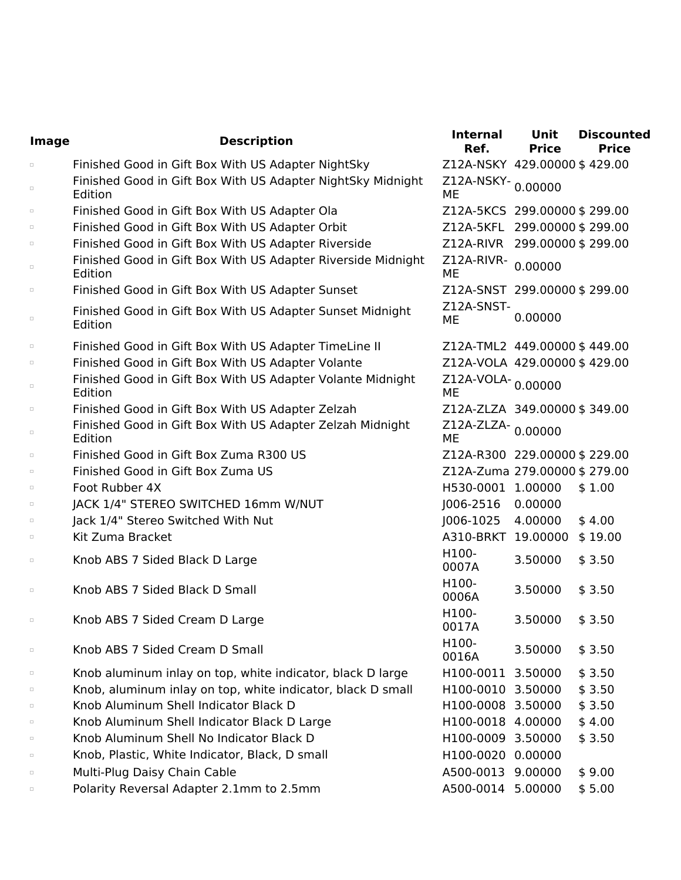| Image  | <b>Description</b>                                                      | <b>Internal</b><br>Ref.      | <b>Unit</b><br><b>Price</b> | <b>Discounted</b><br><b>Price</b> |
|--------|-------------------------------------------------------------------------|------------------------------|-----------------------------|-----------------------------------|
| $\Box$ | Finished Good in Gift Box With US Adapter NightSky                      | Z12A-NSKY 429.00000 \$429.00 |                             |                                   |
| $\Box$ | Finished Good in Gift Box With US Adapter NightSky Midnight<br>Edition  | Z12A-NSKY-0.00000<br>ME      |                             |                                   |
| $\Box$ | Finished Good in Gift Box With US Adapter Ola                           | Z12A-5KCS 299.00000 \$299.00 |                             |                                   |
| $\Box$ | Finished Good in Gift Box With US Adapter Orbit                         | Z12A-5KFL 299.00000 \$299.00 |                             |                                   |
| $\Box$ | Finished Good in Gift Box With US Adapter Riverside                     | Z12A-RIVR 299.00000 \$299.00 |                             |                                   |
| $\Box$ | Finished Good in Gift Box With US Adapter Riverside Midnight<br>Edition | Z12A-RIVR-<br>ME             | 0.00000                     |                                   |
| $\Box$ | Finished Good in Gift Box With US Adapter Sunset                        | Z12A-SNST 299.00000 \$299.00 |                             |                                   |
| $\Box$ | Finished Good in Gift Box With US Adapter Sunset Midnight<br>Edition    | Z12A-SNST-<br>ME             | 0.00000                     |                                   |
| $\Box$ | Finished Good in Gift Box With US Adapter TimeLine II                   | Z12A-TML2 449.00000 \$449.00 |                             |                                   |
| $\Box$ | Finished Good in Gift Box With US Adapter Volante                       | Z12A-VOLA 429.00000 \$429.00 |                             |                                   |
| $\Box$ | Finished Good in Gift Box With US Adapter Volante Midnight<br>Edition   | Z12A-VOLA-0.00000<br>ME      |                             |                                   |
| $\Box$ | Finished Good in Gift Box With US Adapter Zelzah                        | Z12A-ZLZA 349.00000 \$349.00 |                             |                                   |
| $\Box$ | Finished Good in Gift Box With US Adapter Zelzah Midnight<br>Edition    | Z12A-ZLZA-0.00000<br>ME      |                             |                                   |
| $\Box$ | Finished Good in Gift Box Zuma R300 US                                  | Z12A-R300 229.00000 \$229.00 |                             |                                   |
| $\Box$ | Finished Good in Gift Box Zuma US                                       | Z12A-Zuma 279.00000 \$279.00 |                             |                                   |
| $\Box$ | Foot Rubber 4X                                                          | H530-0001 1.00000            |                             | \$1.00                            |
| $\Box$ | JACK 1/4" STEREO SWITCHED 16mm W/NUT                                    | J006-2516                    | 0.00000                     |                                   |
| $\Box$ | Jack 1/4" Stereo Switched With Nut                                      | J006-1025                    | 4.00000                     | \$4.00                            |
| $\Box$ | Kit Zuma Bracket                                                        | A310-BRKT 19.00000           |                             | \$19.00                           |
| $\Box$ | Knob ABS 7 Sided Black D Large                                          | H100-<br>0007A               | 3.50000                     | \$3.50                            |
| $\Box$ | Knob ABS 7 Sided Black D Small                                          | H100-<br>0006A               | 3.50000                     | \$3.50                            |
| $\Box$ | Knob ABS 7 Sided Cream D Large                                          | H100-<br>0017A               | 3.50000                     | \$3.50                            |
| $\Box$ | Knob ABS 7 Sided Cream D Small                                          | H100-<br>0016A               | 3.50000                     | \$3.50                            |
| $\Box$ | Knob aluminum inlay on top, white indicator, black D large              | H100-0011 3.50000            |                             | \$3.50                            |
| $\Box$ | Knob, aluminum inlay on top, white indicator, black D small             | H100-0010 3.50000            |                             | \$3.50                            |
| $\Box$ | Knob Aluminum Shell Indicator Black D                                   | H100-0008 3.50000            |                             | \$3.50                            |
| $\Box$ | Knob Aluminum Shell Indicator Black D Large                             | H100-0018 4.00000            |                             | \$4.00                            |
| $\Box$ | Knob Aluminum Shell No Indicator Black D                                | H100-0009 3.50000            |                             | \$3.50                            |
| $\Box$ | Knob, Plastic, White Indicator, Black, D small                          | H100-0020 0.00000            |                             |                                   |
| $\Box$ | Multi-Plug Daisy Chain Cable                                            | A500-0013 9.00000            |                             | \$9.00                            |
| $\Box$ | Polarity Reversal Adapter 2.1mm to 2.5mm                                | A500-0014 5.00000            |                             | \$5.00                            |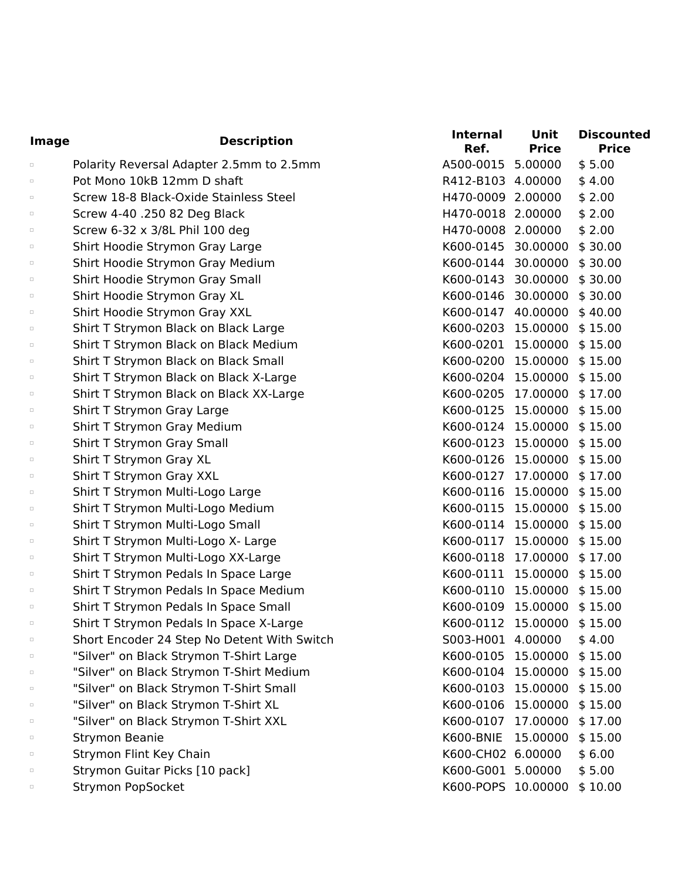| <b>Image</b> | <b>Description</b>                          | <b>Internal</b><br>Ref. | Unit<br><b>Price</b> | <b>Discounted</b><br><b>Price</b> |
|--------------|---------------------------------------------|-------------------------|----------------------|-----------------------------------|
| $\Box$       | Polarity Reversal Adapter 2.5mm to 2.5mm    | A500-0015 5.00000       |                      | \$5.00                            |
| $\Box$       | Pot Mono 10kB 12mm D shaft                  | R412-B103 4.00000       |                      | \$4.00                            |
| $\Box$       | Screw 18-8 Black-Oxide Stainless Steel      | H470-0009 2.00000       |                      | \$2.00                            |
| $\Box$       | Screw 4-40 .250 82 Deg Black                | H470-0018 2.00000       |                      | \$2.00                            |
| $\Box$       | Screw 6-32 x 3/8L Phil 100 deg              | H470-0008 2.00000       |                      | \$2.00                            |
| $\Box$       | Shirt Hoodie Strymon Gray Large             | K600-0145 30.00000      |                      | \$30.00                           |
| $\Box$       | Shirt Hoodie Strymon Gray Medium            | K600-0144 30.00000      |                      | \$30.00                           |
| $\Box$       | Shirt Hoodie Strymon Gray Small             | K600-0143 30.00000      |                      | \$30.00                           |
| $\Box$       | Shirt Hoodie Strymon Gray XL                | K600-0146 30.00000      |                      | \$30.00                           |
| $\Box$       | Shirt Hoodie Strymon Gray XXL               | K600-0147 40.00000      |                      | \$40.00                           |
| $\Box$       | Shirt T Strymon Black on Black Large        | K600-0203 15.00000      |                      | \$15.00                           |
| $\Box$       | Shirt T Strymon Black on Black Medium       | K600-0201 15.00000      |                      | \$15.00                           |
| $\Box$       | Shirt T Strymon Black on Black Small        | K600-0200 15.00000      |                      | \$15.00                           |
| $\Box$       | Shirt T Strymon Black on Black X-Large      | K600-0204 15.00000      |                      | \$15.00                           |
| $\Box$       | Shirt T Strymon Black on Black XX-Large     | K600-0205 17.00000      |                      | \$17.00                           |
| $\Box$       | Shirt T Strymon Gray Large                  | K600-0125 15.00000      |                      | \$15.00                           |
| $\Box$       | Shirt T Strymon Gray Medium                 | K600-0124 15.00000      |                      | \$15.00                           |
| $\Box$       | Shirt T Strymon Gray Small                  | K600-0123 15.00000      |                      | \$15.00                           |
| $\Box$       | Shirt T Strymon Gray XL                     | K600-0126 15.00000      |                      | \$15.00                           |
| $\Box$       | Shirt T Strymon Gray XXL                    | K600-0127               | 17.00000             | \$17.00                           |
| $\Box$       | Shirt T Strymon Multi-Logo Large            | K600-0116               | 15.00000             | \$15.00                           |
| $\Box$       | Shirt T Strymon Multi-Logo Medium           | K600-0115 15.00000      |                      | \$15.00                           |
| $\Box$       | Shirt T Strymon Multi-Logo Small            | K600-0114 15.00000      |                      | \$15.00                           |
| $\Box$       | Shirt T Strymon Multi-Logo X- Large         | K600-0117 15.00000      |                      | \$15.00                           |
| $\Box$       | Shirt T Strymon Multi-Logo XX-Large         | K600-0118               | 17.00000             | \$17.00                           |
| $\Box$       | Shirt T Strymon Pedals In Space Large       | K600-0111 15.00000      |                      | \$15.00                           |
| $\Box$       | Shirt T Strymon Pedals In Space Medium      | K600-0110 15.00000      |                      | \$15.00                           |
| $\Box$       | Shirt T Strymon Pedals In Space Small       | K600-0109 15.00000      |                      | \$15.00                           |
| $\Box$       | Shirt T Strymon Pedals In Space X-Large     | K600-0112 15.00000      |                      | \$15.00                           |
| $\Box$       | Short Encoder 24 Step No Detent With Switch | S003-H001 4.00000       |                      | \$4.00                            |
| $\Box$       | "Silver" on Black Strymon T-Shirt Large     | K600-0105               | 15.00000             | \$15.00                           |
| $\Box$       | "Silver" on Black Strymon T-Shirt Medium    | K600-0104 15.00000      |                      | \$15.00                           |
| $\Box$       | "Silver" on Black Strymon T-Shirt Small     | K600-0103 15.00000      |                      | \$15.00                           |
| $\Box$       | "Silver" on Black Strymon T-Shirt XL        | K600-0106               | 15.00000             | \$15.00                           |
| $\Box$       | "Silver" on Black Strymon T-Shirt XXL       | K600-0107 17.00000      |                      | \$17.00                           |
| $\Box$       | <b>Strymon Beanie</b>                       | K600-BNIE               | 15.00000             | \$15.00                           |
| $\Box$       | Strymon Flint Key Chain                     | K600-CH02 6.00000       |                      | \$6.00                            |
| $\Box$       | Strymon Guitar Picks [10 pack]              | K600-G001 5.00000       |                      | \$5.00                            |
| $\Box$       | Strymon PopSocket                           | K600-POPS 10.00000      |                      | \$10.00                           |